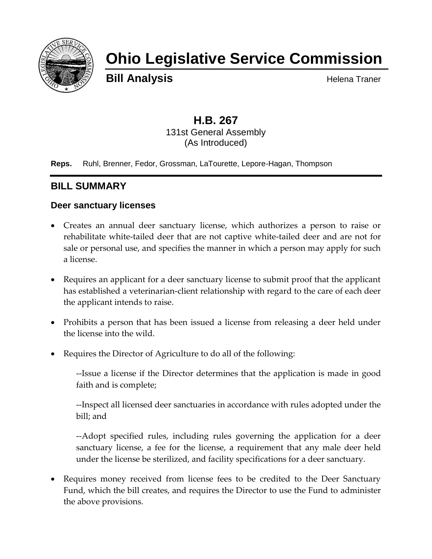

# **Ohio Legislative Service Commission**

**Bill Analysis Helena Traner** 

#### **H.B. 267** 131st General Assembly (As Introduced)

**Reps.** Ruhl, Brenner, Fedor, Grossman, LaTourette, Lepore-Hagan, Thompson

# **BILL SUMMARY**

#### **Deer sanctuary licenses**

- Creates an annual deer sanctuary license, which authorizes a person to raise or rehabilitate white-tailed deer that are not captive white-tailed deer and are not for sale or personal use, and specifies the manner in which a person may apply for such a license.
- Requires an applicant for a deer sanctuary license to submit proof that the applicant has established a veterinarian-client relationship with regard to the care of each deer the applicant intends to raise.
- Prohibits a person that has been issued a license from releasing a deer held under the license into the wild.
- Requires the Director of Agriculture to do all of the following:

--Issue a license if the Director determines that the application is made in good faith and is complete;

--Inspect all licensed deer sanctuaries in accordance with rules adopted under the bill; and

--Adopt specified rules, including rules governing the application for a deer sanctuary license, a fee for the license, a requirement that any male deer held under the license be sterilized, and facility specifications for a deer sanctuary.

• Requires money received from license fees to be credited to the Deer Sanctuary Fund, which the bill creates, and requires the Director to use the Fund to administer the above provisions.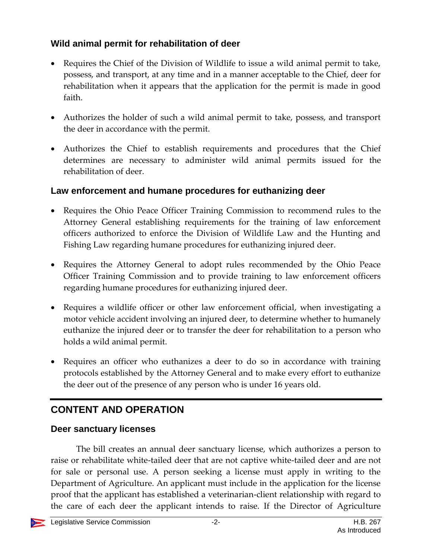## **Wild animal permit for rehabilitation of deer**

- Requires the Chief of the Division of Wildlife to issue a wild animal permit to take, possess, and transport, at any time and in a manner acceptable to the Chief, deer for rehabilitation when it appears that the application for the permit is made in good faith.
- Authorizes the holder of such a wild animal permit to take, possess, and transport the deer in accordance with the permit.
- Authorizes the Chief to establish requirements and procedures that the Chief determines are necessary to administer wild animal permits issued for the rehabilitation of deer.

## **Law enforcement and humane procedures for euthanizing deer**

- Requires the Ohio Peace Officer Training Commission to recommend rules to the Attorney General establishing requirements for the training of law enforcement officers authorized to enforce the Division of Wildlife Law and the Hunting and Fishing Law regarding humane procedures for euthanizing injured deer.
- Requires the Attorney General to adopt rules recommended by the Ohio Peace Officer Training Commission and to provide training to law enforcement officers regarding humane procedures for euthanizing injured deer.
- Requires a wildlife officer or other law enforcement official, when investigating a motor vehicle accident involving an injured deer, to determine whether to humanely euthanize the injured deer or to transfer the deer for rehabilitation to a person who holds a wild animal permit.
- Requires an officer who euthanizes a deer to do so in accordance with training protocols established by the Attorney General and to make every effort to euthanize the deer out of the presence of any person who is under 16 years old.

# **CONTENT AND OPERATION**

#### **Deer sanctuary licenses**

The bill creates an annual deer sanctuary license, which authorizes a person to raise or rehabilitate white-tailed deer that are not captive white-tailed deer and are not for sale or personal use. A person seeking a license must apply in writing to the Department of Agriculture. An applicant must include in the application for the license proof that the applicant has established a veterinarian-client relationship with regard to the care of each deer the applicant intends to raise. If the Director of Agriculture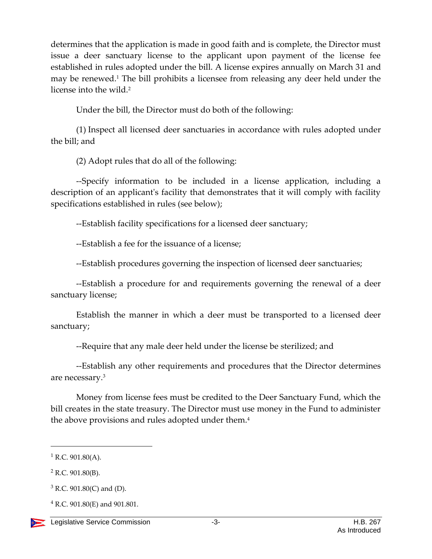determines that the application is made in good faith and is complete, the Director must issue a deer sanctuary license to the applicant upon payment of the license fee established in rules adopted under the bill. A license expires annually on March 31 and may be renewed.<sup>1</sup> The bill prohibits a licensee from releasing any deer held under the license into the wild.<sup>2</sup>

Under the bill, the Director must do both of the following:

(1) Inspect all licensed deer sanctuaries in accordance with rules adopted under the bill; and

(2) Adopt rules that do all of the following:

--Specify information to be included in a license application, including a description of an applicant's facility that demonstrates that it will comply with facility specifications established in rules (see below);

--Establish facility specifications for a licensed deer sanctuary;

--Establish a fee for the issuance of a license;

--Establish procedures governing the inspection of licensed deer sanctuaries;

--Establish a procedure for and requirements governing the renewal of a deer sanctuary license;

Establish the manner in which a deer must be transported to a licensed deer sanctuary;

--Require that any male deer held under the license be sterilized; and

--Establish any other requirements and procedures that the Director determines are necessary.<sup>3</sup>

Money from license fees must be credited to the Deer Sanctuary Fund, which the bill creates in the state treasury. The Director must use money in the Fund to administer the above provisions and rules adopted under them.<sup>4</sup>

 $\overline{a}$ 

<sup>4</sup> R.C. 901.80(E) and 901.801.



 $1 R.C. 901.80(A)$ .

<sup>2</sup> R.C. 901.80(B).

 $3$  R.C. 901.80(C) and (D).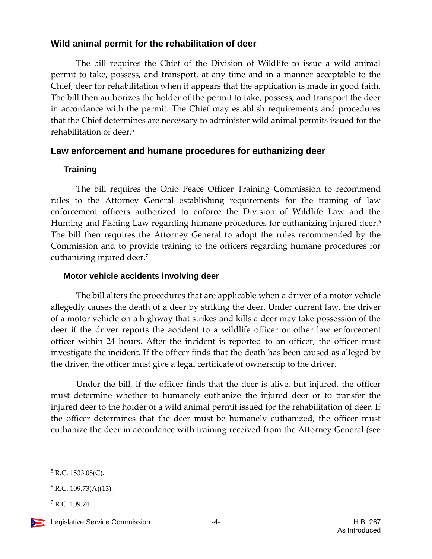#### **Wild animal permit for the rehabilitation of deer**

The bill requires the Chief of the Division of Wildlife to issue a wild animal permit to take, possess, and transport, at any time and in a manner acceptable to the Chief, deer for rehabilitation when it appears that the application is made in good faith. The bill then authorizes the holder of the permit to take, possess, and transport the deer in accordance with the permit. The Chief may establish requirements and procedures that the Chief determines are necessary to administer wild animal permits issued for the rehabilitation of deer.<sup>5</sup>

#### **Law enforcement and humane procedures for euthanizing deer**

#### **Training**

The bill requires the Ohio Peace Officer Training Commission to recommend rules to the Attorney General establishing requirements for the training of law enforcement officers authorized to enforce the Division of Wildlife Law and the Hunting and Fishing Law regarding humane procedures for euthanizing injured deer.<sup>6</sup> The bill then requires the Attorney General to adopt the rules recommended by the Commission and to provide training to the officers regarding humane procedures for euthanizing injured deer.<sup>7</sup>

#### **Motor vehicle accidents involving deer**

The bill alters the procedures that are applicable when a driver of a motor vehicle allegedly causes the death of a deer by striking the deer. Under current law, the driver of a motor vehicle on a highway that strikes and kills a deer may take possession of the deer if the driver reports the accident to a wildlife officer or other law enforcement officer within 24 hours. After the incident is reported to an officer, the officer must investigate the incident. If the officer finds that the death has been caused as alleged by the driver, the officer must give a legal certificate of ownership to the driver.

Under the bill, if the officer finds that the deer is alive, but injured, the officer must determine whether to humanely euthanize the injured deer or to transfer the injured deer to the holder of a wild animal permit issued for the rehabilitation of deer. If the officer determines that the deer must be humanely euthanized, the officer must euthanize the deer in accordance with training received from the Attorney General (see

 $\overline{a}$ 

<sup>5</sup> R.C. 1533.08(C).

 $6$  R.C. 109.73(A)(13).

<sup>7</sup> R.C. 109.74.